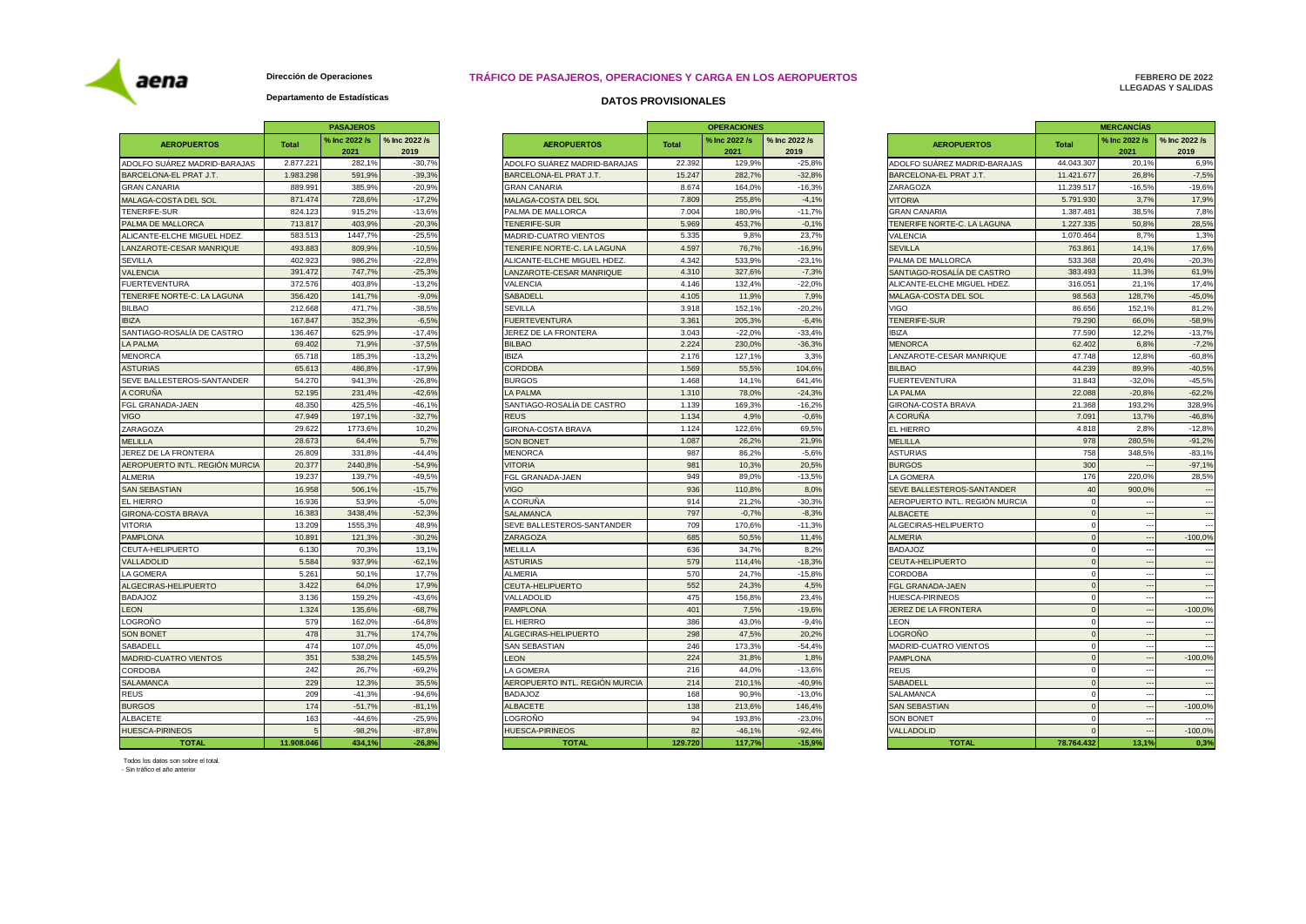### **TRÁFICO DE PASAJEROS, OPERACIONES Y CARGA EN LOS AEROPUERTOS**

# **FEBRERO DE 2022 LLEGADAS Y SALIDAS**

## **Departamento de Estadísticas Dirección de Operaciones**

| <b>DATOS PROVISIONALES</b> |  |
|----------------------------|--|
|                            |  |

|                                |              | <b>PASAJEROS</b>      |                       |                                    |              | <b>OPERACIONES</b>    |                       |                                | <b>MERCANCÍAS</b> |                          |  |
|--------------------------------|--------------|-----------------------|-----------------------|------------------------------------|--------------|-----------------------|-----------------------|--------------------------------|-------------------|--------------------------|--|
| <b>AEROPUERTOS</b>             | <b>Total</b> | % Inc 2022 /s<br>2021 | % Inc 2022 /s<br>2019 | <b>AEROPUERTOS</b>                 | <b>Total</b> | % Inc 2022 /s<br>2021 | % Inc 2022 /s<br>2019 | <b>AEROPUERTOS</b>             | <b>Total</b>      | % Inc 2022 /s<br>2021    |  |
| ADOLFO SUÁREZ MADRID-BARAJAS   | 2.877.221    | 282,19                | $-30,7%$              | ADOLFO SUÁREZ MADRID-BARAJAS       | 22.392       | 129,9%                | $-25,8%$              | ADOLFO SUÁREZ MADRID-BARAJAS   | 44.043.307        | 20,1%                    |  |
| BARCELONA-EL PRAT J.T.         | 1.983.298    | 591,9%                | $-39,3%$              | BARCELONA-EL PRAT J.T.             | 15.247       | 282,7%                | $-32,8%$              | BARCELONA-EL PRAT J.T.         | 11.421.677        | 26,8%                    |  |
| <b>GRAN CANARIA</b>            | 889.99       | 385.9%                | $-20.9%$              | <b>GRAN CANARIA</b>                | 8.674        | 164.0%                | $-16.3%$              | ZARAGOZA                       | 11.239.517        | $-16.5%$                 |  |
| MALAGA-COSTA DEL SOL           | 871.474      | 728.6%                | $-17,2%$              | <b>MALAGA-COSTA DEL SOL</b>        | 7,809        | 255.8%                | $-4.1%$               | <b>VITORIA</b>                 | 5.791.930         | 3.7%                     |  |
| TENERIFE-SUR                   | 824.123      | 915.2%                | $-13,6%$              | ALMA DE MALLORCA                   | 7.004        | 180.9%                | $-11.7%$              | <b>GRAN CANARIA</b>            | 1.387.481         | 38.5%                    |  |
| PALMA DE MALLORCA              | 713.817      | 403.9%                | $-20.3%$              | <b>TENERIFE-SUR</b>                | 5.969        | 453.7%                | $-0.1%$               | TENERIFE NORTE-C. LA LAGUNA    | 1.227.335         | 50.8%                    |  |
| ALICANTE-ELCHE MIGUEL HDEZ.    | 583.513      | 1447,7%               | $-25,5%$              | <b>MADRID-CUATRO VIENTOS</b>       | 5.335        | 9,8%                  | 23,7%                 | VALENCIA                       | 1.070.464         | 8.7%                     |  |
|                                | 493.883      | 809,9%                | $-10,5%$              |                                    | 4.597        | 76,7%                 | $-16,9%$              |                                | 763.861           | 14.1%                    |  |
| LANZAROTE-CESAR MANRIQUE       | 402.92       |                       | $-22.8%$              | <b>TENERIFE NORTE-C. LA LAGUNA</b> | 4.342        | 533.9%                | $-23.1%$              | <b>SEVILLA</b>                 | 533,368           |                          |  |
| <b>SEVILLA</b>                 |              | 986.29                |                       | LICANTE-ELCHE MIGUEL HDEZ          |              |                       |                       | PALMA DE MALLORCA              |                   | 20.4%                    |  |
| <b>VALENCIA</b>                | 391.472      | 747,79                | $-25,3%$              | ANZAROTE-CESAR MANRIQUE            | 4.31(        | 327,6%                | $-7,3%$               | SANTIAGO-ROSALÍA DE CASTRO     | 383,493           | 11.3%                    |  |
| <b>FUERTEVENTURA</b>           | 372.576      | 403,8%                | $-13,2%$              | <b>ALENCIA</b>                     | 4.146        | 132,4%                | $-22,0%$              | ALICANTE-ELCHE MIGUEL HDEZ.    | 316.051           | 21,1%                    |  |
| TENERIFE NORTE-C. LA LAGUNA    | 356,420      | 141.79                | $-9,0%$               | <b>SABADELL</b>                    | 4.105        | 11,9%                 | 7,9%                  | MALAGA-COSTA DEL SOI           | 98.563            | 128,7%                   |  |
| <b>BILBAO</b>                  | 212.668      | 471,7%                | $-38,5%$              | <b>SEVILLA</b>                     | 3.918        | 152,1%                | $-20,2%$              | VIGO                           | 86.656            | 152,1%                   |  |
| <b>IBIZA</b>                   | 167.847      | 352.3%                | $-6,5%$               | UERTEVENTURA                       | 3.361        | 205.3%                | $-6.4%$               | <b>TENERIFE-SUR</b>            | 79,290            | 66.0%                    |  |
| SANTIAGO-ROSALÍA DE CASTRO     | 136.467      | 625,9%                | $-17,4%$              | JEREZ DE LA FRONTERA               | 3.043        | $-22.0%$              | $-33,4%$              | <b>IBIZA</b>                   | 77,590            | 12.2%                    |  |
| <b>LA PALMA</b>                | 69,402       | 71.9%                 | $-37,5%$              | <b>ILBAO</b>                       | 2.224        | 230.0%                | $-36.3%$              | <b>MENORCA</b>                 | 62,402            | 6.8%                     |  |
| <b>MENORCA</b>                 | 65.718       | 185.3%                | $-13,2%$              | <b>IBIZA</b>                       | 2.176        | 127.1%                | 3.3%                  | LANZAROTE-CESAR MANRIQUE       | 47.748            | 12.8%                    |  |
| <b>ASTURIAS</b>                | 65.613       | 486,8%                | $-17,9%$              | CORDOBA                            | 1.569        | 55,5%                 | 104,6%                | <b>BILBAO</b>                  | 44.239            | 89.9%                    |  |
| SEVE BALLESTEROS-SANTANDER     | 54,270       | 941,3%                | $-26,8%$              | <b>BURGOS</b>                      | 1.468        | 14.1%                 | 641,4%                | <b>FUERTEVENTURA</b>           | 31.843            | $-32.0$                  |  |
| A CORUÑA                       | 52.195       | 231,4%                | $-42,6%$              | A PALMA                            | 1.310        | 78,0%                 | $-24,3%$              | LA PALMA                       | 22.088            | $-20,8%$                 |  |
| FGL GRANADA-JAEN               | 48.350       | 425,5%                | $-46,1%$              | ANTIAGO-ROSALÍA DE CASTRO          | 1.139        | 169,3%                | $-16,2%$              | <b>GIRONA-COSTA BRAVA</b>      | 21.368            | 193,2%                   |  |
| <b>VIGO</b>                    | 47.949       | 197,19                | $-32,7%$              | <b>REUS</b>                        | 1.134        | 4,9%                  | $-0.6%$               | <b>CORUÑA</b>                  | 7.091             | 13.7%                    |  |
| ZARAGOZA                       | 29.622       | 1773,69               | 10,2%                 | <b>IRONA-COSTA BRAVA</b>           | 1.124        | 122.69                | 69,5%                 | EL HIERRO                      | 4.818             | $2,8^{\circ}$            |  |
| <b>MELILLA</b>                 | 28.673       | 64,4%                 | 5,7%                  | <b>SON BONET</b>                   | 1.087        | 26,2%                 | 21,9%                 | <b>MELILLA</b>                 | 978               | 280,5%                   |  |
| JEREZ DE LA FRONTERA           | 26,809       | 331.8%                | $-44.4%$              | <b>MENORCA</b>                     | 987          | 86.2%                 | $-5,6%$               | <b>ASTURIAS</b>                | 758               | 348.5%                   |  |
| AEROPUERTO INTL. REGIÓN MURCIA | 20,377       | 2440.8%               | $-54.9%$              | <b>ITORIA</b>                      | 981          | 10.3%                 | 20.5%                 | <b>BURGOS</b>                  | 300               |                          |  |
| <b>ALMERIA</b>                 | 19.237       | 139.7%                | $-49,5%$              | <b>FGL GRANADA-JAEN</b>            | 949          | 89.0%                 | $-13,5%$              | LA GOMERA                      | 176               | 220.0%                   |  |
| <b>SAN SEBASTIAN</b>           | 16.958       | 506,19                | $-15,7%$              | <b>IGO</b>                         | 936          | 110,8%                | 8,0%                  | SEVE BALLESTEROS-SANTANDER     | 40                | 900,0%                   |  |
| EL HIERRO                      | 16.936       | 53.9%                 | $-5,0%$               | . CORUÑA                           | 914          | 21.2%                 | $-30.3%$              | AEROPUERTO INTL. REGIÓN MURCIA |                   |                          |  |
| <b>GIRONA-COSTA BRAVA</b>      | 16,383       | 3438.49               | $-52,3%$              | <b>SALAMANCA</b>                   | 797          | $-0.7%$               | $-8.3%$               | <b>ALBACETE</b>                |                   |                          |  |
| <b>VITORIA</b>                 | 13.209       | 1555,3%               | 48,9%                 | SEVE BALLESTEROS-SANTANDER         | 709          | 170,6%                | $-11,3%$              | ALGECIRAS-HELIPUERTO           |                   |                          |  |
| <b>PAMPLONA</b>                | 10.891       | 121,3%                | $-30,2%$              | <b>ZARAGOZA</b>                    | 685          | 50,5%                 | 11,4%                 | <b>ALMERIA</b>                 |                   | ---                      |  |
| CEUTA-HELIPUERTO               | 6.130        | 70,3%                 | 13,1%                 | MELILLA                            | 636          | 34.7%                 | 8,2%                  | <b>BADAJOZ</b>                 |                   |                          |  |
| VALLADOLID                     | 5.584        | 937,9%                | $-62,1%$              | <b>ASTURIAS</b>                    | 579          | 114,4%                | $-18,3%$              | CEUTA-HELIPUERTO               |                   |                          |  |
| <b>LA GOMERA</b>               | 5.261        | 50,1                  | 17,7%                 | LMERIA                             | 570          | 24,7%                 | $-15,8%$              | <b>CORDOBA</b>                 |                   |                          |  |
| ALGECIRAS-HELIPUERTO           | 3.422        | 64.0%                 | 17.9%                 | EUTA-HELIPUERTO                    | 552          | 24.3%                 | 4.5%                  | FGL GRANADA-JAEN               |                   |                          |  |
| <b>BADAJOZ</b>                 | 3.136        | 159.29                | $-43,6%$              | <b>ALLADOLID</b>                   | 475          | 156.8%                | 23.4%                 | HUESCA-PIRINEOS                |                   |                          |  |
|                                | 1.324        | 135,6%                | $-68,7%$              | <b>AMPLONA</b>                     | 401          | 7,5%                  | $-19,6%$              |                                |                   |                          |  |
| <b>LEON</b>                    |              |                       |                       |                                    |              |                       |                       | JEREZ DE LA FRONTERA           |                   |                          |  |
| LOGROÑO                        | 579          | 162,0%                | $-64,8%$              | HIERRO                             | 386          | 43,0%                 | $-9,4%$               | LEON                           |                   |                          |  |
| <b>SON BONET</b>               | 478          | 31,7%                 | 174,7%                | LGECIRAS-HELIPUERTO                | 298          | 47,5%                 | 20.2%                 | LOGROÑO                        |                   |                          |  |
| SABADELI                       | 474          | 107,0%                | 45,0%                 | <b>SAN SEBASTIAN</b>               | 246          | 173,3%                | $-54,4%$              | MADRID-CUATRO VIENTOS          |                   |                          |  |
| MADRID-CUATRO VIENTOS          | 351          | 538,2%                | 145,5%                | <b>EON</b>                         | 224          | 31,8%                 | 1,8%                  | <b>PAMPLONA</b>                |                   |                          |  |
| CORDOBA                        | 242          | 26.7%                 | $-69,2%$              | A GOMERA                           | 216          | 44.0%                 | $-13.6%$              | <b>REUS</b>                    |                   |                          |  |
| <b>SALAMANCA</b>               | 229          | 12,3%                 | 35,5%                 | \EROPUERTO INTL. REGIÓN MURCIA     | 214          | 210,1%                | $-40,9%$              | SABADELL                       |                   |                          |  |
| <b>REUS</b>                    | 209          | $-41,39$              | $-94,6%$              | <b>ADAJOZ</b>                      | 168          | 90,9%                 | $-13,0%$              | <b>SALAMANCA</b>               |                   |                          |  |
| <b>BURGOS</b>                  | 174          | $-51,79$              | $-81,1%$              | LBACETE                            | 138          | 213,6%                | 146,4%                | <b>SAN SEBASTIAN</b>           |                   | $\overline{\phantom{a}}$ |  |
| <b>ALBACETE</b>                | 163          | $-44.6%$              | $-25.9%$              | OGRONO                             | 94           | 193.8%                | $-23.0%$              | SON BONET                      |                   |                          |  |
| <b>HUESCA-PIRINEOS</b>         |              | $-98.2%$              | $-87,8%$              | <b>IUESCA-PIRINEOS</b>             | 82           | $-46.1%$              | $-92.4%$              | <b>/ALLADOLID</b>              |                   |                          |  |
| <b>TOTAL</b>                   | 11.908.046   | 434,1%                | $-26,8%$              | <b>TOTAL</b>                       | 129.720      | 117,7%                | $-15.9%$              | <b>TOTAL</b>                   | 78.764.432        | 13,1%                    |  |

| <b>PASAJEROS</b>      |                       |                                |              | <b>OPERACIONES</b>    |                       |                                |              | <b>MERCANCIAS</b>        |                       |
|-----------------------|-----------------------|--------------------------------|--------------|-----------------------|-----------------------|--------------------------------|--------------|--------------------------|-----------------------|
| % Inc 2022 /s<br>2021 | % Inc 2022 /s<br>2019 | <b>AEROPUERTOS</b>             | <b>Total</b> | % Inc 2022 /s<br>2021 | % Inc 2022 /s<br>2019 | <b>AEROPUERTOS</b>             | <b>Total</b> | % Inc 2022 /s<br>2021    | % Inc 2022 /s<br>2019 |
| 282,1%                | $-30,7%$              | ADOLFO SUÁREZ MADRID-BARAJAS   | 22.392       | 129,9%                | $-25,8%$              | ADOLFO SUÁREZ MADRID-BARAJAS   | 44.043.307   | 20,1%                    |                       |
| 591,9%                | $-39,3%$              | BARCELONA-EL PRAT J.T.         | 15.247       | 282.7%                | $-32.8%$              | BARCELONA-EL PRAT J.T.         | 11.421.677   | 26,8%                    |                       |
| 385.9%                | $-20.9%$              | <b>GRAN CANARIA</b>            | 8.674        | 164,0%                | $-16,3%$              | ZARAGOZA                       | 11.239.517   | $-16.5%$                 |                       |
| 728,6%                | $-17,2%$              | MALAGA-COSTA DEL SOL           | 7.809        | 255,8%                | $-4,1%$               | <b>VITORIA</b>                 | 5.791.930    | 3,7%                     |                       |
| 915.2%                | $-13.6%$              | PALMA DE MALLORCA              | 7.004        | 180.9%                | $-11.7%$              | <b>GRAN CANARIA</b>            | 1.387.481    | 38.5%                    |                       |
| 403,9%                | $-20,3%$              | <b>TENERIFE-SUR</b>            | 5.969        | 453,7%                | $-0,19$               | TENERIFE NORTE-C. LA LAGUNA    | 1.227.335    | 50,8%                    |                       |
| 1447,7%               | $-25,5%$              | MADRID-CUATRO VIENTOS          | 5.335        | 9,8%                  | 23,7%                 | <b>VALENCIA</b>                | 1.070.464    | 8,7%                     |                       |
| 809.9%                | $-10,5%$              | TENERIFE NORTE-C. LA LAGUNA    | 4.597        | 76,7%                 | $-16,9%$              | <b>SEVILLA</b>                 | 763,861      | 14,19                    |                       |
| 986,2%                | $-22.8%$              | ALICANTE-ELCHE MIGUEL HDEZ.    | 4.342        | 533,9%                | $-23,1%$              | PALMA DE MALLORCA              | 533.368      | 20,4%                    |                       |
| 747,7%                | $-25.3%$              | LANZAROTE-CESAR MANRIQUE       | 4.310        | 327.6%                | $-7,3%$               | SANTIAGO-ROSALÍA DE CASTRO     | 383.493      | 11.3%                    |                       |
| 403,8%                | $-13,2%$              | VALENCIA                       | 4.146        | 132,4%                | $-22,0%$              | ALICANTE-ELCHE MIGUEL HDEZ.    | 316.051      | 21,1%                    |                       |
| 141,7%                | $-9.0%$               | SABADELL                       | 4.105        | 11,9%                 | 7,9%                  | MALAGA-COSTA DEL SOL           | 98.563       | 128.7%                   |                       |
| 471,7%                | $-38.5%$              | SEVILLA                        | 3.918        | 152.1%                | $-20.2%$              | <b>VIGO</b>                    | 86,656       | 152.1%                   |                       |
| 352,3%                | $-6,5%$               | <b>FUERTEVENTURA</b>           | 3.361        | 205,3%                | $-6,4%$               | <b>TENERIFE-SUR</b>            | 79,290       | 66,0%                    |                       |
| 625,9%                | $-17,4%$              | JEREZ DE LA FRONTERA           | 3.043        | $-22.0%$              | $-33,4%$              | <b>BIZA</b>                    | 77.590       | 12,2%                    |                       |
| 71,9%                 | $-37.5%$              | <b>BILBAO</b>                  | 2.224        | 230.0%                | $-36,3%$              | <b>MENORCA</b>                 | 62,402       | 6.8%                     |                       |
| 185.3%                | $-13.2%$              | <b>BIZA</b>                    | 2.176        | 127.1%                | 3,3%                  | LANZAROTE-CESAR MANRIQUE       | 47.748       | 12.8%                    |                       |
| 486,8%                | $-17,9%$              | CORDOBA                        | 1.569        | 55,5%                 | 104,6%                | <b>BILBAO</b>                  | 44.239       | 89,9%                    |                       |
| 941.3%                | $-26.8%$              | <b>BURGOS</b>                  | 1.468        | 14.1%                 | 641,4%                | <b>FUERTEVENTURA</b>           | 31,843       | $-32.0%$                 |                       |
| 231.4%                | $-42,69$              | LA PALMA                       | 1.310        | 78.0%                 | $-24,3%$              | LA PALMA                       | 22,088       | $-20.8%$                 |                       |
| 425,5%                | $-46,1%$              | SANTIAGO-ROSALÍA DE CASTRO     | 1.139        | 169,3%                | $-16,29$              | GIRONA-COSTA BRAVA             | 21.368       | 193,2%                   |                       |
| 197.1%                | $-32.7%$              | REUS                           | 1.134        | 4.9%                  | $-0.6%$               | A CORUÑA                       | 7.091        | 13.7%                    |                       |
| 1773,6%               | 10,2%                 | GIRONA-COSTA BRAVA             | 1.124        | 122,6%                | 69,5%                 | EL HIERRO                      | 4.818        | 2,8%                     |                       |
| 64,4%                 | 5,7%                  | <b>SON BONET</b>               | 1.087        | 26,2%                 | 21,9%                 | <b>MELILLA</b>                 | 978          | 280,5%                   |                       |
| 331.8%                | $-44.4%$              | <b>MENORCA</b>                 | 987          | 86.2%                 | $-5.69$               | <b>ASTURIAS</b>                | 758          | 348.5%                   |                       |
| 2440,8%               | $-54,9%$              | <b>VITORIA</b>                 | 981          | 10,3%                 | 20,5%                 | <b>BURGOS</b>                  | 300          |                          |                       |
| 139.7%                | $-49.5%$              | FGL GRANADA-JAEN               | 949          | 89.0%                 | $-13.5%$              | LA GOMERA                      | 176          | 220.0%                   |                       |
| 506.1%                | $-15.7%$              | <b>VIGO</b>                    | 936          | 110.8%                | 8.0%                  | SEVE BALLESTEROS-SANTANDER     | 40           | 900.0%                   |                       |
| 53.9%                 | $-5.0%$               | A CORUÑA                       | 914          | 21.2%                 | $-30.3%$              | AEROPUERTO INTL. REGIÓN MURCIA | $\Omega$     |                          |                       |
| 3438.4%               | $-52.3%$              | <b>SALAMANCA</b>               | 797          | $-0.7%$               | $-8.3%$               | <b>ALBACETE</b>                |              |                          |                       |
| 1555,3%               | 48,9%                 | SEVE BALLESTEROS-SANTANDER     | 709          | 170,6%                | $-11,3%$              | ALGECIRAS-HELIPUERTO           | $\Omega$     |                          |                       |
| 121,3%                | $-30,29$              | ZARAGOZA                       | 685          | 50.5%                 | 11,4%                 | <b>ALMERIA</b>                 | $\Omega$     |                          |                       |
| 70,3%                 | 13,1%                 | MELILLA                        | 636          | 34,7%                 | 8,2%                  | <b>BADAJOZ</b>                 | $\sqrt{2}$   | $\overline{\phantom{a}}$ |                       |
| 937,9%                | $-62,1%$              | <b>ASTURIAS</b>                | 579          | 114.4%                | $-18,3%$              | CEUTA-HELIPUERTO               |              |                          |                       |
| 50,1%                 | 17,7%                 | ALMERIA                        | 570          | 24,7%                 | $-15,8%$              | <b>CORDOBA</b>                 | $\Omega$     |                          |                       |
| 64,0%                 | 17,9%                 | CEUTA-HELIPUERTO               | 552          | 24.3%                 | 4,5%                  | <b>FGL GRANADA-JAEN</b>        | $\Omega$     |                          |                       |
| 159,2%                | $-43,6%$              | VALLADOLID                     | 475          | 156,8%                | 23,4%                 | HUESCA-PIRINEOS                | $\Omega$     | $\overline{\phantom{a}}$ |                       |
| 135,6%                | $-68.7%$              | <b>PAMPLONA</b>                | 401          | 7,5%                  | $-19,6%$              | JEREZ DE LA FRONTERA           | $\sqrt{ }$   |                          |                       |
| 162,0%                | $-64,8%$              | EL HIERRO                      | 386          | 43,0%                 | $-9,4%$               | <b>LEON</b>                    | $\Omega$     |                          |                       |
| 31,7%                 | 174,7%                | ALGECIRAS-HELIPUERTO           | 298          | 47,5%                 | 20,2%                 | <b>LOGROÑO</b>                 |              |                          |                       |
| 107.09                | 45.0%                 | SAN SEBASTIAN                  | 246          | 173.3%                | $-54.4%$              | MADRID-CUATRO VIENTOS          |              |                          |                       |
| 538,2%                | 145,5%                | <b>EON</b>                     | 224          | 31,8%                 | 1,8%                  | <b>PAMPLONA</b>                | $\Omega$     |                          |                       |
| 26,7%                 | $-69,29$              | A GOMERA                       | 216          | 44.0%                 | $-13,69$              | <b>REUS</b>                    | $\Omega$     |                          |                       |
| 12.3%                 | 35,5%                 | AEROPUERTO INTL. REGIÓN MURCIA | 214          | 210.1%                | $-40,9%$              | SABADELL                       | $\Omega$     |                          |                       |
| $-41,3%$              | $-94,6%$              | <b>BADAJOZ</b>                 | 168          | 90,9%                 | $-13,09$              | SALAMANCA                      | $\Omega$     |                          |                       |
| $-51.7%$              | $-81.1%$              | <b>ALBACETE</b>                | 138          | 213.6%                | 146,4%                | <b>SAN SEBASTIAN</b>           |              |                          |                       |
| $-44.6%$              | $-25,9%$              | OGROÑO.                        | 94           | 193,8%                | $-23,0%$              | <b>SON BONET</b>               |              |                          |                       |
| $-98,2%$              | $-87,8%$              | <b>IUESCA-PIRINEOS</b>         | 82           | $-46,1%$              | $-92,4%$              | VALLADOLID                     | $\mathbf 0$  |                          |                       |
| 434.1%                | $-26.8%$              | <b>TOTAL</b>                   | 129.720      | 117.7%                | $-15.9%$              | <b>TOTAL</b>                   | 78.764.432   | 13.1%                    |                       |

|              | <b>OPERACIONES</b> |               |                                | <b>MERCANCÍAS</b> |                          |                          |  |
|--------------|--------------------|---------------|--------------------------------|-------------------|--------------------------|--------------------------|--|
| <b>Total</b> | % Inc 2022 /s      | % Inc 2022 /s | <b>AEROPUERTOS</b>             | <b>Total</b>      | % Inc 2022 /s            | % Inc 2022 /s            |  |
|              | 2021               | 2019          |                                |                   | 2021                     | 2019                     |  |
| 22.392       | 129,9%             | $-25,8%$      | ADOLFO SUÁREZ MADRID-BARAJAS   | 44.043.307        | 20,1%                    | 6,9%                     |  |
| 15.247       | 282,7%             | $-32,8%$      | BARCELONA-EL PRAT J.T.         | 11.421.677        | 26,8%                    | $-7,5%$                  |  |
| 8.674        | 164,0%             | $-16,3%$      | ZARAGOZA                       | 11.239.517        | $-16,5%$                 | $-19.6%$                 |  |
| 7.809        | 255,8%             | $-4,1%$       | <b>VITORIA</b>                 | 5.791.930         | 3.7%                     | 17,9%                    |  |
| 7.004        | 180,9%             | $-11,7%$      | <b>GRAN CANARIA</b>            | 1.387.481         | 38,5%                    | 7,8%                     |  |
| 5.969        | 453,7%             | $-0,1%$       | TENERIFE NORTE-C. LA LAGUNA    | 1.227.335         | 50,8%                    | 28,5%                    |  |
| 5.335        | 9.8%               | 23.7%         | <b>VALENCIA</b>                | 1.070.464         | 8.7%                     | 1.3%                     |  |
| 4.597        | 76,7%              | $-16,9%$      | <b>SEVILLA</b>                 | 763.861           | 14,1%                    | 17,6%                    |  |
| 4.342        | 533,9%             | $-23,1%$      | PALMA DE MALLORCA              | 533.368           | 20,4%                    | $-20,3%$                 |  |
| 4.310        | 327,6%             | $-7,3%$       | SANTIAGO-ROSALÍA DE CASTRO     | 383,493           | 11,3%                    | 61,9%                    |  |
| 4.146        | 132,4%             | $-22,0%$      | ALICANTE-ELCHE MIGUEL HDEZ.    | 316.051           | 21,1%                    | 17,4%                    |  |
| 4.105        | 11,9%              | 7,9%          | MALAGA-COSTA DEL SOL           | 98.563            | 128,7%                   | $-45,0%$                 |  |
| 3.918        | 152,1%             | $-20.2%$      | <b>VIGO</b>                    | 86.656            | 152.1%                   | 81,2%                    |  |
| 3.361        | 205,3%             | $-6,4%$       | <b>TENERIFE-SUR</b>            | 79.290            | 66,0%                    | $-58,9%$                 |  |
| 3.043        | $-22,0%$           | $-33.4%$      | <b>IBIZA</b>                   | 77.590            | 12,2%                    | $-13,7%$                 |  |
| 2.224        | 230,0%             | $-36.3%$      | <b>MENORCA</b>                 | 62,402            | 6.8%                     | $-7,2%$                  |  |
| 2.176        | 127,1%             | 3,3%          | LANZAROTE-CESAR MANRIQUE       | 47.748            | 12,8%                    | $-60,8%$                 |  |
| 1.569        | 55,5%              | 104,6%        | <b>BILBAO</b>                  | 44.239            | 89,9%                    | $-40,5%$                 |  |
| 1.468        | 14,1%              | 641,4%        | <b>FUERTEVENTURA</b>           | 31.843            | $-32.0%$                 | $-45,5%$                 |  |
| 1.310        | 78,0%              | $-24,3%$      | <b>LA PALMA</b>                | 22.088            | $-20,8%$                 | $-62,2%$                 |  |
| 1.139        | 169,3%             | $-16,2%$      | GIRONA-COSTA BRAVA             | 21.368            | 193,2%                   | 328,9%                   |  |
| 1.134        | 4,9%               | $-0.6%$       | A CORUÑA                       | 7.091             | 13,7%                    | $-46,8%$                 |  |
| 1.124        | 122.6%             | 69.5%         | <b>EL HIERRO</b>               | 4.818             | 2.8%                     | $-12.8%$                 |  |
| 1.087        | 26,2%              | 21,9%         | <b>MELILLA</b>                 | 978               | 280,5%                   | $-91,2%$                 |  |
| 987          | 86.2%              | $-5.6%$       | <b>ASTURIAS</b>                | 758               | 348.5%                   | $-83.1%$                 |  |
| 981          | 10,3%              | 20,5%         | <b>BURGOS</b>                  | 300               |                          | $-97,1%$                 |  |
| 949          | 89,0%              | $-13,5%$      | LA GOMERA                      | 176               | 220,0%                   | 28,5%                    |  |
| 936          | 110,8%             | 8,0%          | SEVE BALLESTEROS-SANTANDER     | 40                | 900,0%                   |                          |  |
| 914          | 21,2%              | $-30,3%$      | AEROPUERTO INTL. REGIÓN MURCIA | $\mathbf 0$       |                          | $\sim$                   |  |
| 797          | $-0.7%$            | $-8,3%$       | <b>ALBACETE</b>                | $\mathbf 0$       | $\overline{\phantom{a}}$ | $\overline{\phantom{a}}$ |  |
| 709          | 170,6%             | $-11,3%$      | ALGECIRAS-HELIPUERTO           | $\overline{0}$    | $\overline{\phantom{a}}$ |                          |  |
| 685          | 50,5%              | 11.4%         | <b>ALMERIA</b>                 | $\overline{0}$    |                          | $-100,0%$                |  |
| 636          | 34,7%              | 8,2%          | <b>BADAJOZ</b>                 | $\mathbf 0$       | Ξ.,                      |                          |  |
| 579          | 114.4%             | $-18.3%$      | CEUTA-HELIPUERTO               | $\overline{0}$    | $\sim$                   | $\overline{a}$           |  |
| 570          | 24,7%              | $-15,8%$      | CORDOBA                        | $\mathbf 0$       | Ξ.                       | ÷.                       |  |
| 552          | 24,3%              | 4,5%          | FGL GRANADA-JAEN               | $\mathbf 0$       | $\ddot{\phantom{a}}$     | Ξ.                       |  |
| 475          | 156,8%             | 23,4%         | HUESCA-PIRINEOS                | 0                 | Ξ.                       |                          |  |
| 401          | 7,5%               | $-19.6%$      | JEREZ DE LA FRONTERA           | $\overline{0}$    | $\overline{\phantom{a}}$ | $-100,0%$                |  |
| 386          | 43,0%              | $-9,4%$       | LEON                           | 0                 | $\overline{\phantom{a}}$ |                          |  |
| 298          | 47,5%              | 20,2%         | LOGROÑO                        | $\overline{0}$    | $\ddot{\phantom{a}}$     |                          |  |
| 246          | 173.3%             | $-54.4%$      | MADRID-CUATRO VIENTOS          | $\mathbf 0$       | Ξ.                       |                          |  |
| 224          | 31,8%              | 1,8%          | <b>PAMPLONA</b>                | $\mathbf 0$       | $\sim$                   | $-100,0%$                |  |
| 216          | 44,0%              | $-13,6%$      | REUS                           | $\mathbf 0$       | $\overline{\phantom{a}}$ |                          |  |
| 214          | 210,1%             | $-40,9%$      | SABADELL                       | $\mathbf 0$       | $\ddot{\phantom{a}}$     |                          |  |
| 168          | 90,9%              | $-13,0%$      | SALAMANCA                      | $\mathbf 0$       | $\ddot{\phantom{a}}$     |                          |  |
| 138          | 213,6%             | 146,4%        | SAN SEBASTIAN                  | $\pmb{0}$         | $\overline{\phantom{a}}$ | $-100,0%$                |  |
| 94           | 193,8%             | $-23,0%$      | <b>SON BONET</b>               | 0                 | $\overline{\phantom{a}}$ |                          |  |
| 82           | $-46,1%$           | $-92.4%$      | VALLADOLID                     | $\Omega$          | $\overline{\phantom{a}}$ | $-100,0%$                |  |
| 129.720      | 117,7%             | $-15,9%$      | <b>TOTAL</b>                   | 78.764.432        | 13,1%                    | 0.3%                     |  |

Todos los datos son sobre el total. - Sin tráfico el año anterior

**A** aena